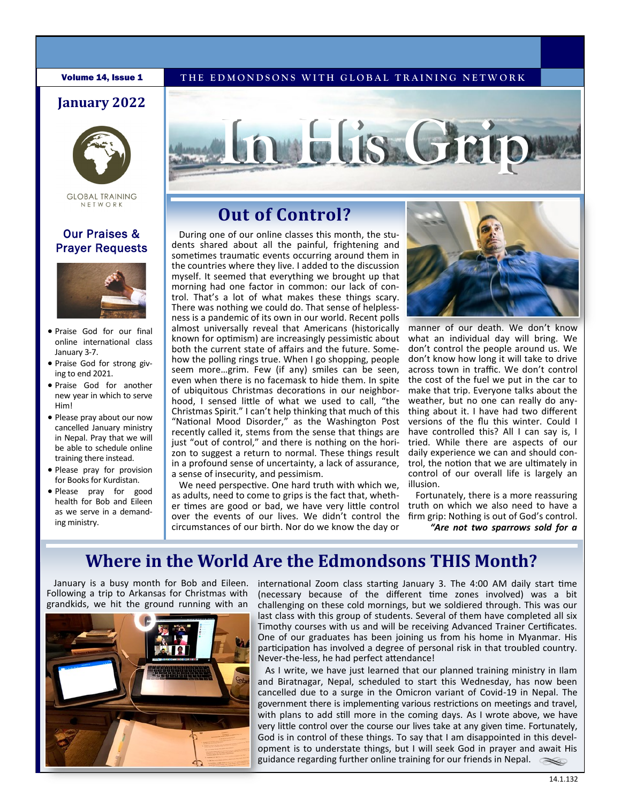### **January 2022**



**GLOBAL TRAINING** NETWORK

### Our Praises & Prayer Requests



- Praise God for our final online international class January 3-7.
- Praise God for strong giving to end 2021.
- Praise God for another new year in which to serve Him!
- Please pray about our now cancelled January ministry in Nepal. Pray that we will be able to schedule online training there instead.
- Please pray for provision for Books for Kurdistan.
- Please pray for good health for Bob and Eileen as we serve in a demanding ministry.

# **Volume 14, Issue 1 THE EDMONDSONS WITH GLOBAL TRAINING NETWORK**



# **Out of Control?**

During one of our online classes this month, the students shared about all the painful, frightening and sometimes traumatic events occurring around them in the countries where they live. I added to the discussion myself. It seemed that everything we brought up that morning had one factor in common: our lack of control. That's a lot of what makes these things scary. There was nothing we could do. That sense of helplessness is a pandemic of its own in our world. Recent polls almost universally reveal that Americans (historically known for optimism) are increasingly pessimistic about both the current state of affairs and the future. Somehow the polling rings true. When I go shopping, people seem more…grim. Few (if any) smiles can be seen, even when there is no facemask to hide them. In spite of ubiquitous Christmas decorations in our neighborhood, I sensed little of what we used to call, "the Christmas Spirit." I can't help thinking that much of this "National Mood Disorder," as the Washington Post recently called it, stems from the sense that things are just "out of control," and there is nothing on the horizon to suggest a return to normal. These things result in a profound sense of uncertainty, a lack of assurance, a sense of insecurity, and pessimism.

We need perspective. One hard truth with which we, as adults, need to come to grips is the fact that, whether times are good or bad, we have very little control over the events of our lives. We didn't control the circumstances of our birth. Nor do we know the day or



manner of our death. We don't know what an individual day will bring. We don't control the people around us. We don't know how long it will take to drive across town in traffic. We don't control the cost of the fuel we put in the car to make that trip. Everyone talks about the weather, but no one can really do anything about it. I have had two different versions of the flu this winter. Could I have controlled this? All I can say is, I tried. While there are aspects of our daily experience we can and should control, the notion that we are ultimately in control of our overall life is largely an illusion.

Fortunately, there is a more reassuring truth on which we also need to have a firm grip: Nothing is out of God's control. *"Are not two sparrows sold for a* 

# **Where in the World Are the Edmondsons THIS Month?**

January is a busy month for Bob and Eileen. Following a trip to Arkansas for Christmas with grandkids, we hit the ground running with an



international Zoom class starting January 3. The 4:00 AM daily start time (necessary because of the different time zones involved) was a bit challenging on these cold mornings, but we soldiered through. This was our last class with this group of students. Several of them have completed all six Timothy courses with us and will be receiving Advanced Trainer Certificates. One of our graduates has been joining us from his home in Myanmar. His participation has involved a degree of personal risk in that troubled country. Never-the-less, he had perfect attendance!

As I write, we have just learned that our planned training ministry in Ilam and Biratnagar, Nepal, scheduled to start this Wednesday, has now been cancelled due to a surge in the Omicron variant of Covid-19 in Nepal. The government there is implementing various restrictions on meetings and travel, with plans to add still more in the coming days. As I wrote above, we have very little control over the course our lives take at any given time. Fortunately, God is in control of these things. To say that I am disappointed in this development is to understate things, but I will seek God in prayer and await His guidance regarding further online training for our friends in Nepal.  $\ll$